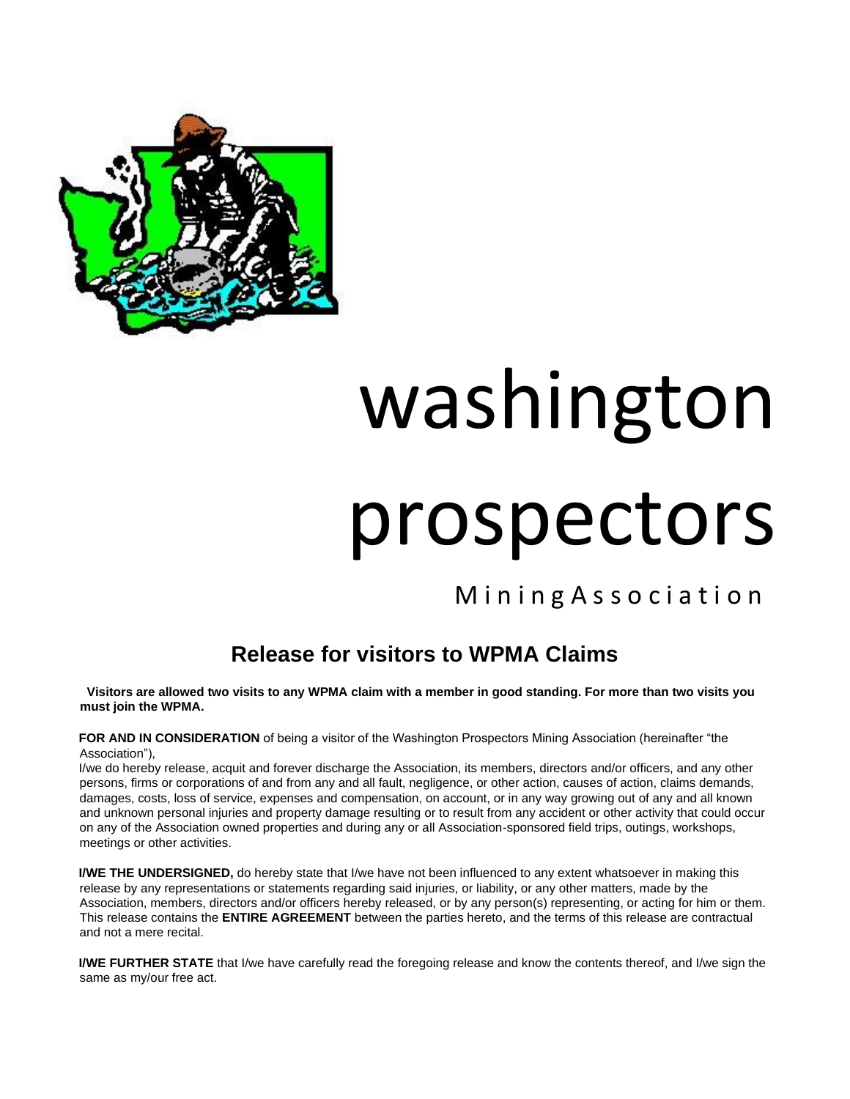

## washington prospectors

M in ing Association

## **Release for visitors to WPMA Claims**

 **Visitors are allowed two visits to any WPMA claim with a member in good standing. For more than two visits you must join the WPMA.** 

**FOR AND IN CONSIDERATION** of being a visitor of the Washington Prospectors Mining Association (hereinafter "the Association"),

I/we do hereby release, acquit and forever discharge the Association, its members, directors and/or officers, and any other persons, firms or corporations of and from any and all fault, negligence, or other action, causes of action, claims demands, damages, costs, loss of service, expenses and compensation, on account, or in any way growing out of any and all known and unknown personal injuries and property damage resulting or to result from any accident or other activity that could occur on any of the Association owned properties and during any or all Association-sponsored field trips, outings, workshops, meetings or other activities.

**I/WE THE UNDERSIGNED,** do hereby state that I/we have not been influenced to any extent whatsoever in making this release by any representations or statements regarding said injuries, or liability, or any other matters, made by the Association, members, directors and/or officers hereby released, or by any person(s) representing, or acting for him or them. This release contains the **ENTIRE AGREEMENT** between the parties hereto, and the terms of this release are contractual and not a mere recital.

**I/WE FURTHER STATE** that I/we have carefully read the foregoing release and know the contents thereof, and I/we sign the same as my/our free act.